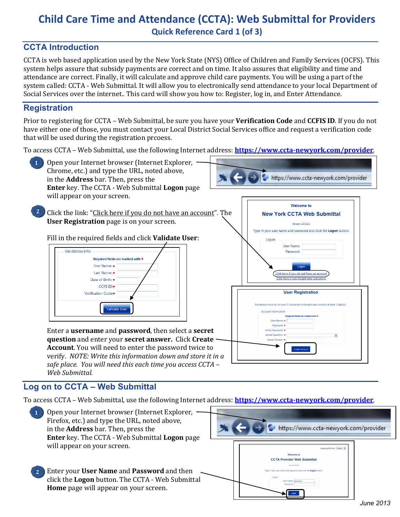# **Child Care Time and Attendance (CCTA): Web Submittal for Providers Quick Reference Card 1 (of 3)**

## **CCTA Introduction**

CCTA is web based application used by the New York State (NYS) Office of Children and Family Services (OCFS). This system helps assure that subsidy payments are correct and on time. It also assures that eligibility and time and attendance are correct. Finally, it will calculate and approve child care payments. You will be using a part of the system called: CCTA - Web Submittal. It will allow you to electronically send attendance to your local Department of Social Services over the internet.. This card will show you how to: Register, log in, and Enter Attendance.

#### **Registration**

**1**

**2**

Prior to registering for CCTA – Web Submittal, be sure you have your **Verification Code** and **CCFIS ID**. If you do not have either one of those, you must contact your Local District Social Services office and request a verification code that will be used during the registration prcoess.

To access CCTA – Web Submittal, use the following Internet address: **<https://www.ccta-newyork.com/provider>**.

- Open your Internet browser (Internet Explorer, Chrome, etc.) and type the URL, noted above, in the **Address** bar. Then, press the **Enter** key. The CCTA - Web Submittal **Logon** page will appear on your screen.
- Click the link: "Click here if you do not have an account". The **User Registration** page is on your screen.

#### Fill in the required fields and click **Validate User**:



Enter a **username** and **password**, then select a **secret question** and enter your **secret answer.** Click **Create Account**. You will need to enter the password twice to verify. *NOTE: Write this information down and store it in a safe place. You will need this each time you access CCTA – Web Submittal.*

# https://www.ccta-newyork.com/provider Welcome to **New York CCTA Web Submittal**



# **Log on to CCTA – Web Submittal**

To access CCTA – Web Submittal, use the following Internet address: **<https://www.ccta-newyork.com/provider>**.

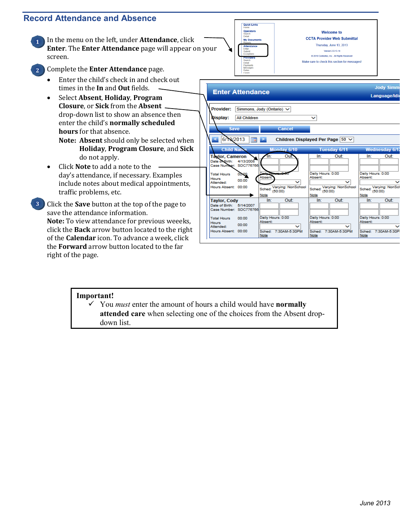#### **Record Attendance and Absence**

1. In the menu on the left, under **Attendance**, click **Enter**. The **Enter Attendance** page will appear on your screen. **1**



**Welcome to CCTA Provider Web Submittal** Thursday, June 13, 2013

Version 2.0.13.14 @ 2010 Controltec, Inc. All Rights Reserved

Make sure to check this section for messages!

2. Complete the **Enter Attendance** page.

**2**

- Enter the child's check in and check out times in the **In** and **Out** fields.
- Select **Absent**, **Holiday**, **Program Closure**, or **Sick** from the **Absent** drop-down list to show an absence then enter the child's **normally scheduled hours** for that absence.
	- **Note: Absent** should only be selected when **Holiday**, **Program Closure**, and **Sick** do not apply.
- Click **Note** to add a note to the day's attendance, if necessary. Examples include notes about medical appointments, traffic problems, etc.

Click the **Save** button at the top of the page to save the attendance information. **Note:** To view attendance for previous weeeks, click the **Back** arrow button located to the right of the **Calendar** icon. To advance a week, click the **Forward** arrow button located to the far right of the page. **3**



#### **Important!**

 You *must* enter the amount of hours a child would have **normally attended care** when selecting one of the choices from the Absent dropdown list.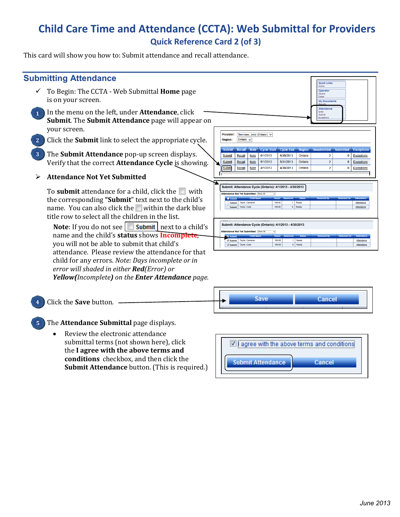# **Child Care Time and Attendance (CCTA): Web Submittal for Providers Quick Reference Card 2 (of 3)**

This card will show you how to: Submit attendance and recall attendance.

| <b>Submitting Attendance</b>                                                                                                                                                                                                    | <b>Quick Links</b>                                                                                                                                                                                                                                                       |
|---------------------------------------------------------------------------------------------------------------------------------------------------------------------------------------------------------------------------------|--------------------------------------------------------------------------------------------------------------------------------------------------------------------------------------------------------------------------------------------------------------------------|
| To Begin: The CCTA - Web Submittal <b>Home</b> page<br>is on your screen.                                                                                                                                                       | Home<br>Operator<br>Search<br>Detail<br><b>My Documents</b>                                                                                                                                                                                                              |
| In the menu on the left, under <b>Attendance</b> , click<br>Submit. The Submit Attendance page will appear on                                                                                                                   | <b>Attendance</b><br>Enter<br>Submit<br>Exceptions                                                                                                                                                                                                                       |
| your screen.<br>Click the <b>Submit</b> link to select the appropriate cycle.<br>2                                                                                                                                              | <b>Provider:</b><br>Simmons, Jody (Ontario) V<br>Ontario V<br><b>Region:</b>                                                                                                                                                                                             |
| The Submit Attendance pop-up screen displays.<br>3                                                                                                                                                                              | <b>Cycle Start Cycle End Region Unsubmitted Submitted Exceptions</b><br><b>Note</b><br>Recall<br>Submit.<br>6/1/2013<br>6/30/2013<br>Submit<br><b>Note</b><br>Ontario<br><b>Recall</b><br>$\overline{2}$<br>$\bf{0}$<br><b>Exceptions</b>                                |
| Verify that the correct Attendance Cycle is showing.                                                                                                                                                                            | 5/1/2013<br>5/31/2013<br>$\overline{2}$<br>$\bf{0}$<br>Submit<br>Recall<br><b>Note</b><br>Ontario<br><b>Exceptions</b><br><b>Note</b><br>4/1/2013<br>$\overline{2}$<br>Submi<br>4/30/2013<br>Ontario<br>$\bf{0}$<br><b>Exceptions</b><br>Recall                          |
| <b>Attendance Not Yet Submitted</b>                                                                                                                                                                                             |                                                                                                                                                                                                                                                                          |
| To <b>submit</b> attendance for a child, click the $\Box$ with<br>the corresponding "Submit" text next to the child's<br>name. You can also click the within the dark blue<br>title row to select all the children in the list. | Submit: Attendance Cycle (Ontario): 4/1/2013 - 4/30/2013<br><b>Attendance Not Yet Submitted: Show AI</b><br><b>Taylor, Cameron</b><br>100:00<br>Ready<br>$\Box$ Submit<br>Attendance<br>0 Ready<br>100:00<br>Taylor, Cody<br>Attendance<br>Submit                        |
| <b>Note:</b> If you do not see $\Box$ <b>Submit</b> next to a child's<br>name and the child's status shows Incomplete,<br>you will not be able to submit that child's                                                           | Submit: Attendance Cycle (Ontario): 4/1/2013 - 4/30/2013<br><b>Attendance Not Yet Submitted: Show All</b><br>1 Ready<br><b>Taylor, Cameron</b><br>100:00<br>$\checkmark$ Submit<br><b>Attendance</b><br>0 Ready<br>Taylor, Cody<br>100:00<br>Attendance<br>$\vee$ Submit |
| attendance. Please review the attendance for that<br>child for any errors. Note: Days incomplete or in<br>error will shaded in either <b>Red</b> (Error) or                                                                     |                                                                                                                                                                                                                                                                          |

*Yellow(Incomplete) on the Enter Attendance page.*



The **Attendance Submittal** page displays. **5**

Click the **Save** button.

**4**

• Review the electronic attendance submittal terms (not shown here), click the **I agree with the above terms and conditions** checkbox, and then click the **Submit Attendance** button. (This is required.)

|                          | $\blacksquare$ ] agree with the above terms and conditions: |
|--------------------------|-------------------------------------------------------------|
| <b>Submit Attendance</b> | Cancel                                                      |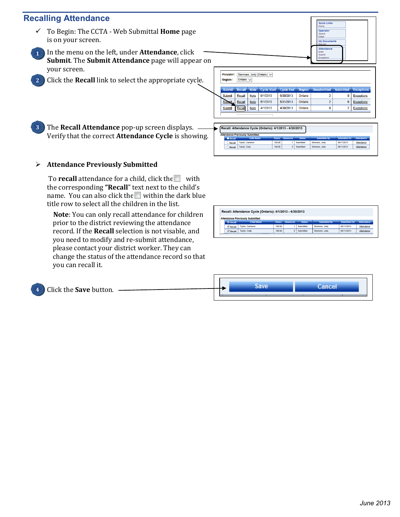#### **Recalling Attendance**

**2**

**3**

- To Begin: The CCTA Web Submittal **Home** page is on your screen.
- 4. In the menu on the left, under **Attendance**, click **Submit**. The **Submit Attendance** page will appear on your screen. **1**
	- 5. Click the **Recall** link to select the appropriate cycle.

| <b>Provider:</b><br><b>Region:</b> | Ontario $\sqrt{}$ |             | Simmons, Jody (Ontario) V |                  |               |                    |                  |                   |
|------------------------------------|-------------------|-------------|---------------------------|------------------|---------------|--------------------|------------------|-------------------|
| <b>Submit</b>                      | <b>Recall</b>     | <b>Note</b> | <b>Cycle Start</b>        | <b>Cycle End</b> | <b>Region</b> | <b>Unsubmitted</b> | <b>Submitted</b> | <b>Exceptions</b> |
| <b>Submit</b>                      | Recall            | <b>Note</b> | 6/1/2013                  | 6/30/2013        | Ontario       | h                  | Ō                | <b>Exceptions</b> |
| Submit.                            | Recall            | <b>Note</b> | 5/1/2013                  | 5/31/2013        | Ontario       |                    | 0                | <b>Exceptions</b> |
| <b>Submit</b>                      | Recall            | <b>Note</b> | 4/1/2013                  | 4/30/2013        | Ontario       | O                  | 2                | <b>Exceptions</b> |

**Quick Links** Operato **My Docu Attendance** 

6. The **Recall Attendance** pop-up screen displays. Verify that the correct **Attendance Cycle** is showing.

|        | Recall: Attendance Cycle (Ontario): 4/1/2013 - 4/30/2013 |              |                 |               |                     |                     |                   |  |  |  |  |
|--------|----------------------------------------------------------|--------------|-----------------|---------------|---------------------|---------------------|-------------------|--|--|--|--|
|        | <b>Attendance Previously Submitted:</b>                  |              |                 |               |                     |                     |                   |  |  |  |  |
| Recall | <b>Child Name</b>                                        | <b>Hours</b> | <b>Absences</b> | <b>Status</b> | <b>Submitted By</b> | <b>Submitted On</b> | <b>Attendance</b> |  |  |  |  |
| Recall | <b>Taylor, Cameron</b>                                   | 100:00       |                 | Submitted     | Simmons, Jody       | 06/11/2013          | Attendance        |  |  |  |  |
| Recall | <b>Taylor, Cody</b>                                      | 100:00       | n               | Submitted     | Simmons, Jody       | 06/11/2013          | Attendance        |  |  |  |  |

#### **Attendance Previously Submitted**

To **recall** attendance for a child, click the with the corresponding **"Recall**" text next to the child's name. You can also click the within the dark blue title row to select all the children in the list.

 **Note**: You can only recall attendance for children prior to the district reviewing the attendance record. If the **Recall** selection is not visable, and you need to modify and re-submit attendance, please contact your district worker. They can change the status of the attendance record so that you can recall it.

|                             | Recall: Attendance Cycle (Ontario): 4/1/2013 - 4/30/2013 |              |                 |               |                     |                     |                   |
|-----------------------------|----------------------------------------------------------|--------------|-----------------|---------------|---------------------|---------------------|-------------------|
|                             | <b>Attendance Previously Submitted:</b>                  |              |                 |               |                     |                     |                   |
| <b>X</b> Recall             | <b>Child Name</b>                                        | <b>Hours</b> | <b>Ahsences</b> | <b>Status</b> | <b>Submitted By</b> | <b>Submitted On</b> | <b>Attendance</b> |
| $\sqrt{\phantom{a}}$ Recall | <b>Taylor, Cameron</b>                                   | 100:00       |                 | Submitted     | Simmons, Jody       | 06/11/2013          | Attendance        |
| $\sqrt{\phantom{a}}$ Recall | <b>Taylor, Cody</b>                                      | 100:00       | $\bf{0}$        | Submitted     | Simmons, Jody       | 06/11/2013          | Attendance        |

| <b>Click the Save button.</b><br>$\sim$ 4 |  | oave |  |
|-------------------------------------------|--|------|--|
|                                           |  |      |  |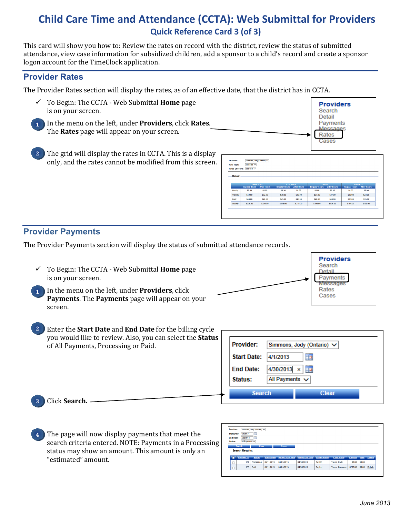# **Child Care Time and Attendance (CCTA): Web Submittal for Providers Quick Reference Card 3 (of 3)**

This card will show you how to: Review the rates on record with the district, review the status of submitted attendance, view case information for subsidized children, add a sponsor to a child's record and create a sponsor logon account for the TimeClock application.

#### **Provider Rates**

The Provider Rates section will display the rates, as of an effective date, that the district has in CCTA.

- To Begin: The CCTA Web Submittal **Home** page is on your screen.
- 7. In the menu on the left, under **Providers**, click **Rates**. The **Rates** page will appear on your screen. **1**
- The grid will display the rates in CCTA. This is a display only, and the rates cannot be modified from this screen. **2**

| Provider:               | Simmons, Jody (Ontario) V      |                              |                                |                              |                                |                              |                                |                              |
|-------------------------|--------------------------------|------------------------------|--------------------------------|------------------------------|--------------------------------|------------------------------|--------------------------------|------------------------------|
| <b>Rate Type:</b>       | Standard V                     |                              |                                |                              |                                |                              |                                |                              |
|                         | $01/01/10$ $\vee$              |                              |                                |                              |                                |                              |                                |                              |
|                         |                                |                              |                                |                              |                                |                              |                                |                              |
| <b>Rates Effective:</b> |                                |                              |                                |                              |                                |                              |                                |                              |
|                         |                                |                              |                                |                              |                                |                              |                                |                              |
| Rates:                  |                                |                              |                                |                              |                                |                              |                                |                              |
|                         |                                |                              |                                |                              |                                |                              |                                |                              |
|                         | <b>Under 1 1/2</b>             |                              | 1 1/2 thru 2                   |                              | 3 thru 5                       |                              | 6 thru 12                      |                              |
| Hourly                  | <b>Regular Hours</b><br>\$8.00 | <b>After Hours</b><br>\$8.00 | <b>Regular Hours</b><br>\$8.36 | <b>After Hours</b><br>\$8.36 | <b>Regular Hours</b><br>\$8.00 | <b>After Hours</b><br>\$8.00 | <b>Regular Hours</b><br>\$8.00 | <b>After Hours</b><br>\$8.00 |
| 1/2 Day                 | \$32.00                        | \$32.00                      | \$30.00                        | \$30.00                      | \$27.00                        | \$27.00                      | \$23.00                        | \$23.00                      |
| Daily                   | S48.00                         | \$48.00                      | \$45.00                        | \$45.00                      | \$40.00                        | \$40.00                      | \$35.00                        | \$35.00                      |

**Providers** Search **Detail Payments** Messanes Rates

## **Provider Payments**

The Provider Payments section will display the status of submitted attendance records.

 To Begin: The CCTA - Web Submittal **Home** page is on your screen.



- 8. In the menu on the left, under **Providers**, click **Payments**. The **Payments** page will appear on your screen. **1**
- Enter the **Start Date** and **End Date** for the billing cycle you would like to review. Also, you can select the **Status** of All Payments, Processing or Paid. **2**

| Provider:          | Simmons, Jody (Ontario) V |
|--------------------|---------------------------|
| <b>Start Date:</b> | 4/1/2013<br>₩             |
| <b>End Date:</b>   | 4/30/2013 x<br>亜          |
| Status:            | All Payments $\vee$       |
| <b>Search</b>      | Clear                     |

9. Click **Search.**

**3**

The page will now display payments that meet the search criteria entered. NOTE: Payments in a Processing status may show an amount. This amount is only an "estimated" amount. **4**

| <b>Provider:</b>                        |                 | Simmons, Jody (Ontario) V |                    |                          |                        |                    |                   |               |        |                     |
|-----------------------------------------|-----------------|---------------------------|--------------------|--------------------------|------------------------|--------------------|-------------------|---------------|--------|---------------------|
| ≣<br><b>Start Date:</b><br>4/1/2013     |                 |                           |                    |                          |                        |                    |                   |               |        |                     |
| <b>End Date:</b><br>4/30/2013<br>$\Box$ |                 |                           |                    |                          |                        |                    |                   |               |        |                     |
| Status:                                 | All Payments    |                           |                    |                          |                        |                    |                   |               |        |                     |
|                                         |                 |                           |                    |                          |                        |                    |                   |               |        |                     |
|                                         | Search.         | <b>Clear</b>              |                    | Export                   |                        |                    |                   |               |        |                     |
|                                         | Search Results: |                           |                    |                          |                        |                    |                   |               |        |                     |
|                                         |                 |                           |                    |                          |                        |                    |                   |               |        |                     |
|                                         | Payment ID      | <b>Status</b>             | <b>Status Date</b> | <b>Period Start Date</b> | <b>Period End Date</b> | <b>Family Name</b> | <b>Child Name</b> | <b>Amount</b> |        | <b>Fees</b> Details |
| <b>COLOR</b>                            | 121             | Processing                | 06/11/2013         | 04/01/2013               | 04/30/2013             | <b>Taylor</b>      | Taylor, Cody      | \$0.00        | \$0.00 |                     |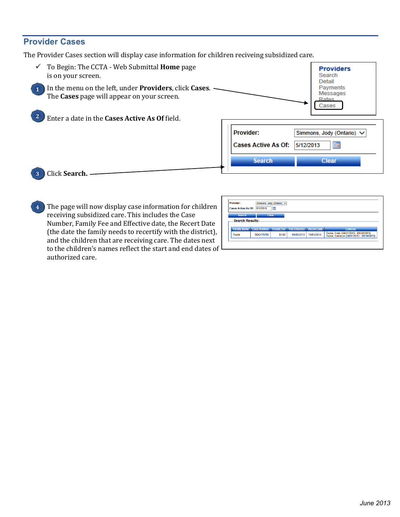### **Provider Cases**

The Provider Cases section will display case information for children reciveing subsidized care.



The page will now display case information for children receiving subsidized care. This includes the Case Number, Family Fee and Effective date, the Recert Date (the date the family needs to recertify with the district), and the children that are receiving care. The dates next to the children's names reflect the start and end dates of authorized care. **4**

| <b>Provider:</b><br><b>Cases Active As Of:</b> | 5/12/2013          | Simmons, Jody (Ontario) V<br>m |                      |                    |                                                                                     |
|------------------------------------------------|--------------------|--------------------------------|----------------------|--------------------|-------------------------------------------------------------------------------------|
| <b>Search</b><br>Search Results: .             |                    | Clear.                         |                      |                    |                                                                                     |
| <b>Family Name</b>                             | <b>Case Number</b> | <b>Family Fee</b>              | <b>Fee Effective</b> | <b>Recert Date</b> | <b>Children</b>                                                                     |
| <b>Taylor</b>                                  | SDC776766          | \$1.00                         | 04/01/2013           | 10/01/2013         | Taylor, Cody (04/01/2013 - 09/30/2013)<br>Taylor, Cameron (04/01/2013 - 09/30/2013) |